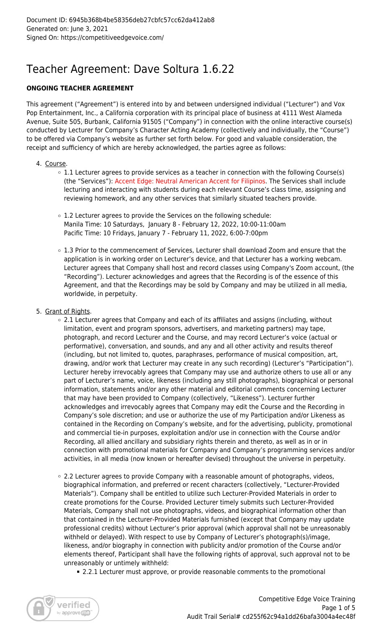# Teacher Agreement: Dave Soltura 1.6.22

# **ONGOING TEACHER AGREEMENT**

This agreement ("Agreement") is entered into by and between undersigned individual ("Lecturer") and Vox Pop Entertainment, Inc., a California corporation with its principal place of business at 4111 West Alameda Avenue, Suite 505, Burbank, California 91505 ("Company") in connection with the online interactive course(s) conducted by Lecturer for Company's Character Acting Academy (collectively and individually, the "Course") to be offered via Company's website as further set forth below. For good and valuable consideration, the receipt and sufficiency of which are hereby acknowledged, the parties agree as follows:

## 4. Course.

- 1.1 Lecturer agrees to provide services as a teacher in connection with the following Course(s) (the "Services"): Accent Edge: Neutral American Accent for Filipinos. The Services shall include lecturing and interacting with students during each relevant Course's class time, assigning and reviewing homework, and any other services that similarly situated teachers provide.
- $\circ$  1.2 Lecturer agrees to provide the Services on the following schedule: Manila Time: 10 Saturdays, January 8 - February 12, 2022, 10:00-11:00am Pacific Time: 10 Fridays, January 7 - February 11, 2022, 6:00-7:00pm
- 1.3 Prior to the commencement of Services, Lecturer shall download Zoom and ensure that the application is in working order on Lecturer's device, and that Lecturer has a working webcam. Lecturer agrees that Company shall host and record classes using Company's Zoom account, (the "Recording"). Lecturer acknowledges and agrees that the Recording is of the essence of this Agreement, and that the Recordings may be sold by Company and may be utilized in all media, worldwide, in perpetuity.
- 5. Grant of Rights.
	- 2.1 Lecturer agrees that Company and each of its affiliates and assigns (including, without limitation, event and program sponsors, advertisers, and marketing partners) may tape, photograph, and record Lecturer and the Course, and may record Lecturer's voice (actual or performative), conversation, and sounds, and any and all other activity and results thereof (including, but not limited to, quotes, paraphrases, performance of musical composition, art, drawing, and/or work that Lecturer may create in any such recording) (Lecturer's "Participation"). Lecturer hereby irrevocably agrees that Company may use and authorize others to use all or any part of Lecturer's name, voice, likeness (including any still photographs), biographical or personal information, statements and/or any other material and editorial comments concerning Lecturer that may have been provided to Company (collectively, "Likeness"). Lecturer further acknowledges and irrevocably agrees that Company may edit the Course and the Recording in Company's sole discretion; and use or authorize the use of my Participation and/or Likeness as contained in the Recording on Company's website, and for the advertising, publicity, promotional and commercial tie-in purposes, exploitation and/or use in connection with the Course and/or Recording, all allied ancillary and subsidiary rights therein and thereto, as well as in or in connection with promotional materials for Company and Company's programming services and/or activities, in all media (now known or hereafter devised) throughout the universe in perpetuity.
	- 2.2 Lecturer agrees to provide Company with a reasonable amount of photographs, videos, biographical information, and preferred or recent characters (collectively, "Lecturer-Provided Materials"). Company shall be entitled to utilize such Lecturer-Provided Materials in order to create promotions for the Course. Provided Lecturer timely submits such Lecturer-Provided Materials, Company shall not use photographs, videos, and biographical information other than that contained in the Lecturer-Provided Materials furnished (except that Company may update professional credits) without Lecturer's prior approval (which approval shall not be unreasonably withheld or delayed). With respect to use by Company of Lecturer's photograph(s)/image, likeness, and/or biography in connection with publicity and/or promotion of the Course and/or elements thereof, Participant shall have the following rights of approval, such approval not to be unreasonably or untimely withheld:
		- 2.2.1 Lecturer must approve, or provide reasonable comments to the promotional

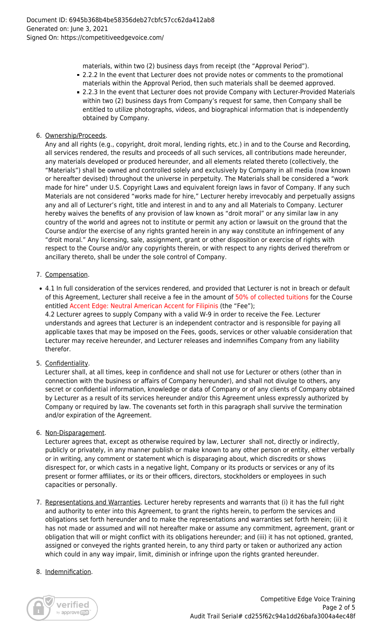materials, within two (2) business days from receipt (the "Approval Period").

- 2.2.2 In the event that Lecturer does not provide notes or comments to the promotional materials within the Approval Period, then such materials shall be deemed approved.
- 2.2.3 In the event that Lecturer does not provide Company with Lecturer-Provided Materials within two (2) business days from Company's request for same, then Company shall be entitled to utilize photographs, videos, and biographical information that is independently obtained by Company.
- 6. Ownership/Proceeds.

Any and all rights (e.g., copyright, droit moral, lending rights, etc.) in and to the Course and Recording, all services rendered, the results and proceeds of all such services, all contributions made hereunder, any materials developed or produced hereunder, and all elements related thereto (collectively, the "Materials") shall be owned and controlled solely and exclusively by Company in all media (now known or hereafter devised) throughout the universe in perpetuity. The Materials shall be considered a "work made for hire" under U.S. Copyright Laws and equivalent foreign laws in favor of Company. If any such Materials are not considered "works made for hire," Lecturer hereby irrevocably and perpetually assigns any and all of Lecturer's right, title and interest in and to any and all Materials to Company. Lecturer hereby waives the benefits of any provision of law known as "droit moral" or any similar law in any country of the world and agrees not to institute or permit any action or lawsuit on the ground that the Course and/or the exercise of any rights granted herein in any way constitute an infringement of any "droit moral." Any licensing, sale, assignment, grant or other disposition or exercise of rights with respect to the Course and/or any copyrights therein, or with respect to any rights derived therefrom or ancillary thereto, shall be under the sole control of Company.

# 7. Compensation.

4.1 In full consideration of the services rendered, and provided that Lecturer is not in breach or default of this Agreement, Lecturer shall receive a fee in the amount of 50% of collected tuitions for the Course entitled Accent Edge: Neutral American Accent for Filipinis (the "Fee");

4.2 Lecturer agrees to supply Company with a valid W-9 in order to receive the Fee. Lecturer understands and agrees that Lecturer is an independent contractor and is responsible for paying all applicable taxes that may be imposed on the Fees, goods, services or other valuable consideration that Lecturer may receive hereunder, and Lecturer releases and indemnifies Company from any liability therefor.

5. Confidentiality.

Lecturer shall, at all times, keep in confidence and shall not use for Lecturer or others (other than in connection with the business or affairs of Company hereunder), and shall not divulge to others, any secret or confidential information, knowledge or data of Company or of any clients of Company obtained by Lecturer as a result of its services hereunder and/or this Agreement unless expressly authorized by Company or required by law. The covenants set forth in this paragraph shall survive the termination and/or expiration of the Agreement.

6. Non-Disparagement.

Lecturer agrees that, except as otherwise required by law, Lecturer shall not, directly or indirectly, publicly or privately, in any manner publish or make known to any other person or entity, either verbally or in writing, any comment or statement which is disparaging about, which discredits or shows disrespect for, or which casts in a negative light, Company or its products or services or any of its present or former affiliates, or its or their officers, directors, stockholders or employees in such capacities or personally.

- 7. Representations and Warranties. Lecturer hereby represents and warrants that (i) it has the full right and authority to enter into this Agreement, to grant the rights herein, to perform the services and obligations set forth hereunder and to make the representations and warranties set forth herein; (ii) it has not made or assumed and will not hereafter make or assume any commitment, agreement, grant or obligation that will or might conflict with its obligations hereunder; and (iii) it has not optioned, granted, assigned or conveyed the rights granted herein, to any third party or taken or authorized any action which could in any way impair, limit, diminish or infringe upon the rights granted hereunder.
- 8. Indemnification.

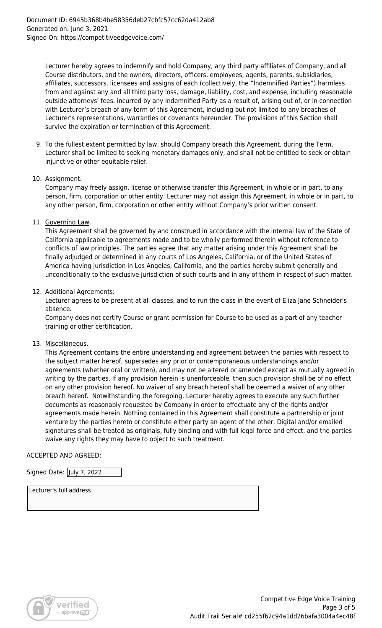Lecturer hereby agrees to indemnify and hold Company, any third party affiliates of Company, and all Course distributors, and the owners, directors, officers, employees, agents, parents, subsidiaries, affiliates, successors, licensees and assigns of each (collectively, the "Indemnified Parties") harmless from and against any and all third party loss, damage, liability, cost, and expense, including reasonable outside attorneys' fees, incurred by any Indemnified Party as a result of, arising out of, or in connection with Lecturer's breach of any term of this Agreement, including but not limited to any breaches of Lecturer's representations, warranties or covenants hereunder. The provisions of this Section shall survive the expiration or termination of this Agreement.

9. To the fullest extent permitted by law, should Company breach this Agreement, during the Term, Lecturer shall be limited to seeking monetary damages only, and shall not be entitled to seek or obtain injunctive or other equitable relief.

### 10. Assignment.

Company may freely assign, license or otherwise transfer this Agreement, in whole or in part, to any person, firm, corporation or other entity. Lecturer may not assign this Agreement, in whole or in part, to any other person, firm, corporation or other entity without Company's prior written consent.

11. Governing Law.

This Agreement shall be governed by and construed in accordance with the internal law of the State of California applicable to agreements made and to be wholly performed therein without reference to conflicts of law principles. The parties agree that any matter arising under this Agreement shall be finally adjudged or determined in any courts of Los Angeles, California, or of the United States of America having jurisdiction in Los Angeles, California, and the parties hereby submit generally and unconditionally to the exclusive jurisdiction of such courts and in any of them in respect of such matter.

### 12. Additional Agreements:

Lecturer agrees to be present at all classes, and to run the class in the event of Eliza Jane Schneider's absence.

Company does not certify Course or grant permission for Course to be used as a part of any teacher training or other certification.

#### 13. Miscellaneous.

This Agreement contains the entire understanding and agreement between the parties with respect to the subject matter hereof, supersedes any prior or contemporaneous understandings and/or agreements (whether oral or written), and may not be altered or amended except as mutually agreed in writing by the parties. If any provision herein is unenforceable, then such provision shall be of no effect on any other provision hereof. No waiver of any breach hereof shall be deemed a waiver of any other breach hereof. Notwithstanding the foregoing, Lecturer hereby agrees to execute any such further documents as reasonably requested by Company in order to effectuate any of the rights and/or agreements made herein. Nothing contained in this Agreement shall constitute a partnership or joint venture by the parties hereto or constitute either party an agent of the other. Digital and/or emailed signatures shall be treated as originals, fully binding and with full legal force and effect, and the parties waive any rights they may have to object to such treatment.

## ACCEPTED AND AGREED:

Signed Date: July 7, 2022

Lecturer's full address

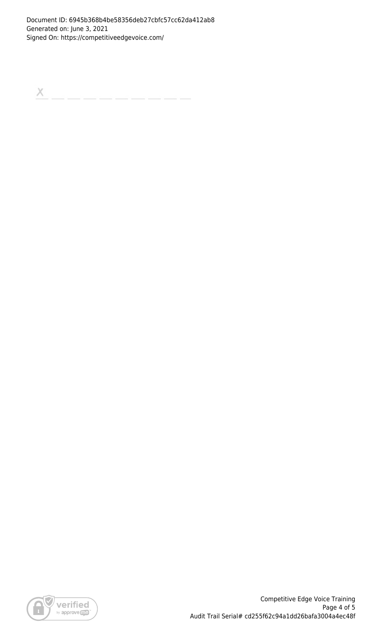$\mathsf{X}% _{\mathsf{X}}^{\prime}=\mathsf{X}_{\mathsf{X}}^{\prime}$